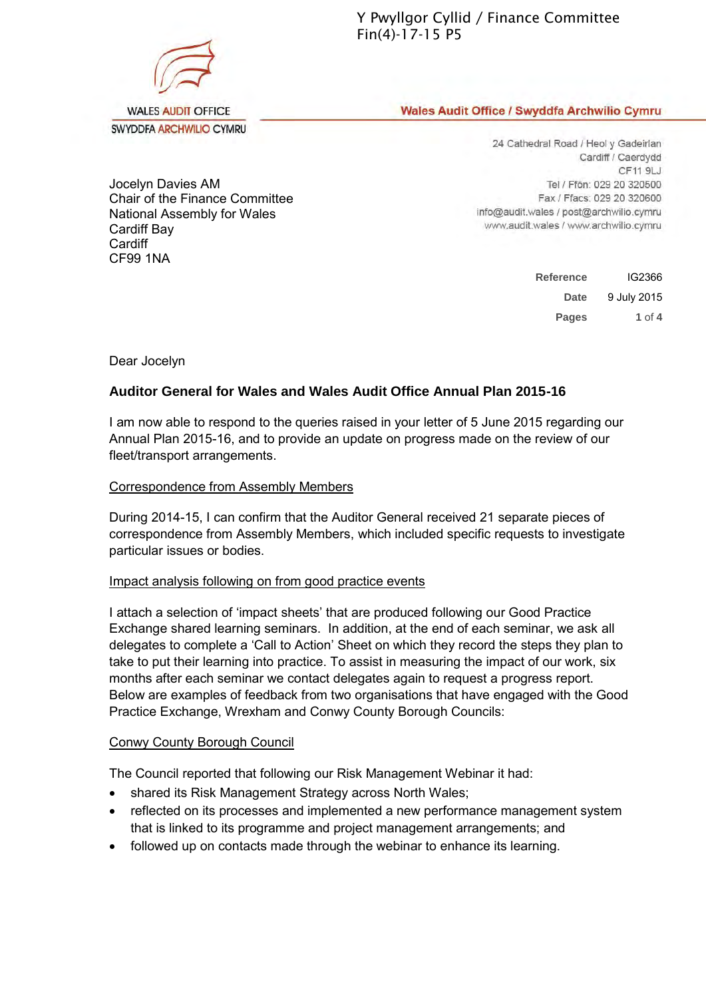Y Pwyllgor Cyllid / Finance Committee Fin(4)-17-15 P5

Wales Audit Office / Swyddfa Archwilio Cymru

Jocelyn Davies AM Chair of the Finance Committee National Assembly for Wales Cardiff Bay **Cardiff** CF99 1NA

24 Cathedral Road / Heol y Gadeirlan Cardiff / Caerdydd CF11 9LJ Tel / Ffôn: 029 20 320500 Fax / Ffacs: 029 20 320600 info@audit.wales / post@archwilio.cymru www.audit.wales / www.archwilio.cymru

| <b>Reference</b> | IG2366      |
|------------------|-------------|
| Date             | 9 July 2015 |
| <b>Pages</b>     | 1 of 4      |

Dear Jocelyn

# **Auditor General for Wales and Wales Audit Office Annual Plan 2015-16**

I am now able to respond to the queries raised in your letter of 5 June 2015 regarding our Annual Plan 2015-16, and to provide an update on progress made on the review of our fleet/transport arrangements.

### Correspondence from Assembly Members

During 2014-15, I can confirm that the Auditor General received 21 separate pieces of correspondence from Assembly Members, which included specific requests to investigate particular issues or bodies.

### Impact analysis following on from good practice events

I attach a selection of 'impact sheets' that are produced following our Good Practice Exchange shared learning seminars. In addition, at the end of each seminar, we ask all delegates to complete a 'Call to Action' Sheet on which they record the steps they plan to take to put their learning into practice. To assist in measuring the impact of our work, six months after each seminar we contact delegates again to request a progress report. Below are examples of feedback from two organisations that have engaged with the Good Practice Exchange, Wrexham and Conwy County Borough Councils:

# Conwy County Borough Council

The Council reported that following our Risk Management Webinar it had:

- shared its Risk Management Strategy across North Wales;
- reflected on its processes and implemented a new performance management system that is linked to its programme and project management arrangements; and
- followed up on contacts made through the webinar to enhance its learning.



SWYDDFA ARCHWILIO CYMRU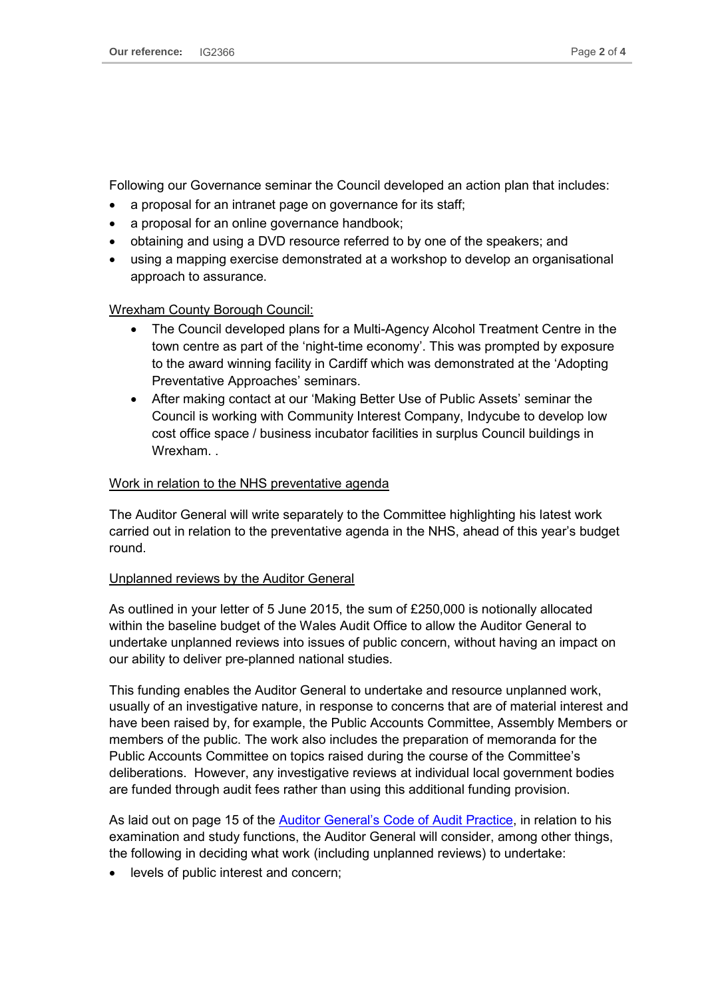Following our Governance seminar the Council developed an action plan that includes:

- a proposal for an intranet page on governance for its staff;
- a proposal for an online governance handbook;
- obtaining and using a DVD resource referred to by one of the speakers; and
- using a mapping exercise demonstrated at a workshop to develop an organisational approach to assurance.

# Wrexham County Borough Council:

- The Council developed plans for a Multi-Agency Alcohol Treatment Centre in the town centre as part of the 'night-time economy'. This was prompted by exposure to the award winning facility in Cardiff which was demonstrated at the 'Adopting Preventative Approaches' seminars.
- After making contact at our 'Making Better Use of Public Assets' seminar the Council is working with Community Interest Company, Indycube to develop low cost office space / business incubator facilities in surplus Council buildings in Wrexham.

### Work in relation to the NHS preventative agenda

The Auditor General will write separately to the Committee highlighting his latest work carried out in relation to the preventative agenda in the NHS, ahead of this year's budget round.

# Unplanned reviews by the Auditor General

As outlined in your letter of 5 June 2015, the sum of £250,000 is notionally allocated within the baseline budget of the Wales Audit Office to allow the Auditor General to undertake unplanned reviews into issues of public concern, without having an impact on our ability to deliver pre-planned national studies.

This funding enables the Auditor General to undertake and resource unplanned work, usually of an investigative nature, in response to concerns that are of material interest and have been raised by, for example, the Public Accounts Committee, Assembly Members or members of the public. The work also includes the preparation of memoranda for the Public Accounts Committee on topics raised during the course of the Committee's deliberations. However, any investigative reviews at individual local government bodies are funded through audit fees rather than using this additional funding provision.

As laid out on page 15 of the **Auditor General's Code of Audit Practice**, in relation to his examination and study functions, the Auditor General will consider, among other things, the following in deciding what work (including unplanned reviews) to undertake:

levels of public interest and concern;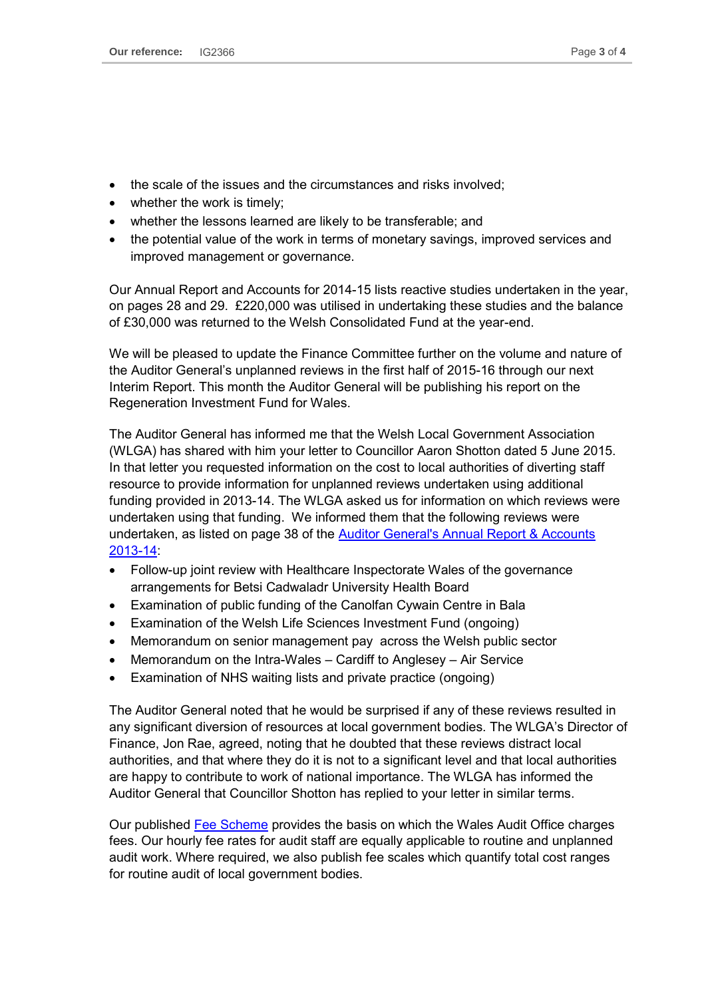- the scale of the issues and the circumstances and risks involved;
- whether the work is timely;
- whether the lessons learned are likely to be transferable; and
- the potential value of the work in terms of monetary savings, improved services and improved management or governance.

Our Annual Report and Accounts for 2014-15 lists reactive studies undertaken in the year, on pages 28 and 29. £220,000 was utilised in undertaking these studies and the balance of £30,000 was returned to the Welsh Consolidated Fund at the year-end.

We will be pleased to update the Finance Committee further on the volume and nature of the Auditor General's unplanned reviews in the first half of 2015-16 through our next Interim Report. This month the Auditor General will be publishing his report on the Regeneration Investment Fund for Wales.

The Auditor General has informed me that the Welsh Local Government Association (WLGA) has shared with him your letter to Councillor Aaron Shotton dated 5 June 2015. In that letter you requested information on the cost to local authorities of diverting staff resource to provide information for unplanned reviews undertaken using additional funding provided in 2013-14. The WLGA asked us for information on which reviews were undertaken using that funding. We informed them that the following reviews were undertaken, as listed on page 38 of the **Auditor General's Annual Report & Accounts** [2013-14:](http://www.audit.wales/system/files/publications/292A2014_Annual_Report_2014_ENGLISH_0.pdf)

- Follow-up joint review with Healthcare Inspectorate Wales of the governance arrangements for Betsi Cadwaladr University Health Board
- Examination of public funding of the Canolfan Cywain Centre in Bala
- Examination of the Welsh Life Sciences Investment Fund (ongoing)
- Memorandum on senior management pay across the Welsh public sector
- Memorandum on the Intra-Wales Cardiff to Anglesey Air Service
- Examination of NHS waiting lists and private practice (ongoing)

The Auditor General noted that he would be surprised if any of these reviews resulted in any significant diversion of resources at local government bodies. The WLGA's Director of Finance, Jon Rae, agreed, noting that he doubted that these reviews distract local authorities, and that where they do it is not to a significant level and that local authorities are happy to contribute to work of national importance. The WLGA has informed the Auditor General that Councillor Shotton has replied to your letter in similar terms.

Our published [Fee Scheme](http://www.audit.wales/system/files/publications/fee_scheme_english.pdf) provides the basis on which the Wales Audit Office charges fees. Our hourly fee rates for audit staff are equally applicable to routine and unplanned audit work. Where required, we also publish fee scales which quantify total cost ranges for routine audit of local government bodies.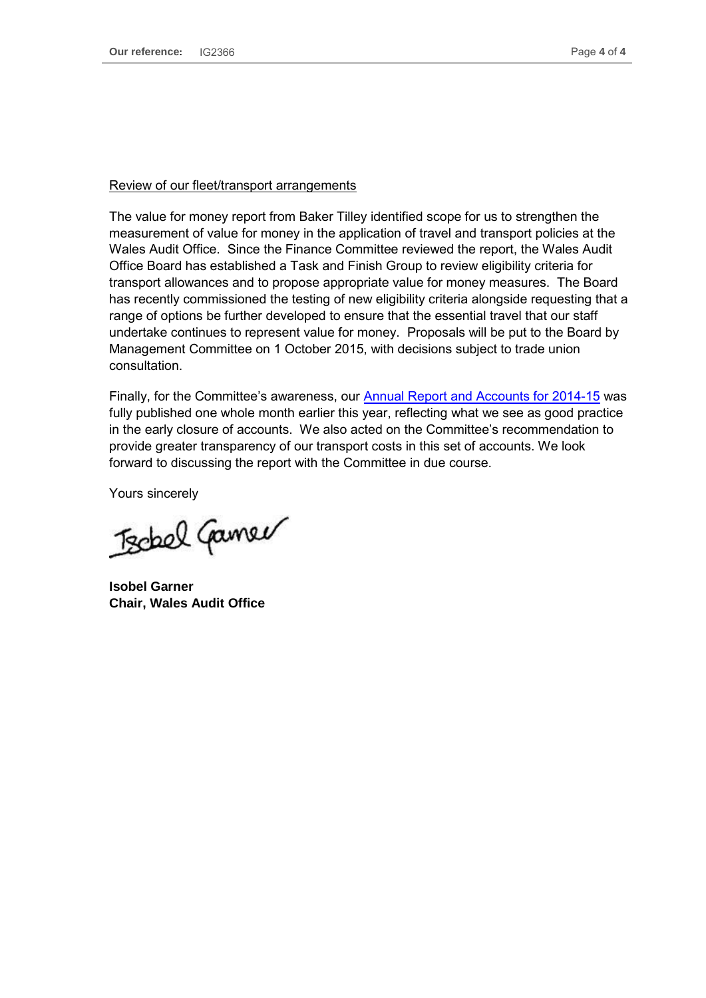#### Review of our fleet/transport arrangements

The value for money report from Baker Tilley identified scope for us to strengthen the measurement of value for money in the application of travel and transport policies at the Wales Audit Office. Since the Finance Committee reviewed the report, the Wales Audit Office Board has established a Task and Finish Group to review eligibility criteria for transport allowances and to propose appropriate value for money measures. The Board has recently commissioned the testing of new eligibility criteria alongside requesting that a range of options be further developed to ensure that the essential travel that our staff undertake continues to represent value for money. Proposals will be put to the Board by Management Committee on 1 October 2015, with decisions subject to trade union consultation.

Finally, for the Committee's awareness, our [Annual Report and Accounts for 2014-15](http://www.audit.wales/system/files/publications/annual-report-2015-english_1.pdf) was fully published one whole month earlier this year, reflecting what we see as good practice in the early closure of accounts. We also acted on the Committee's recommendation to provide greater transparency of our transport costs in this set of accounts. We look forward to discussing the report with the Committee in due course.

Yours sincerely

Techel Camer

**Isobel Garner Chair, Wales Audit Office**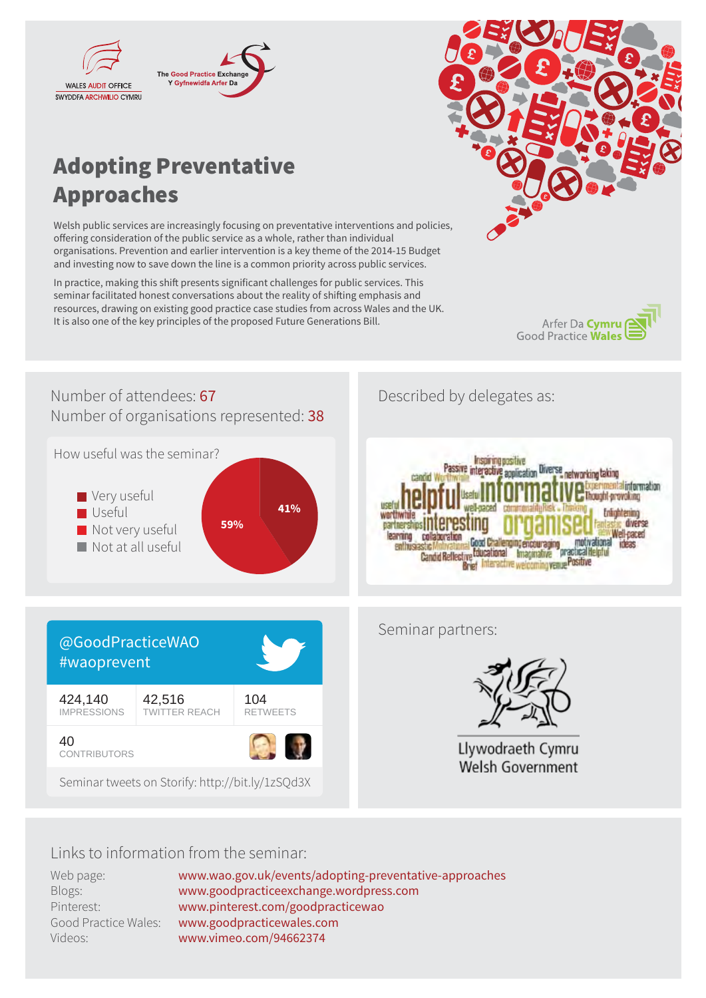



# Adopting Preventative Approaches

Welsh public services are increasingly focusing on preventative interventions and policies, offering consideration of the public service as a whole, rather than individual organisations. Prevention and earlier intervention is a key theme of the 2014-15 Budget and investing now to save down the line is a common priority across public services.

In practice, making this shift presents significant challenges for public services. This seminar facilitated honest conversations about the reality of shifting emphasis and resources, drawing on existing good practice case studies from across Wales and the UK. It is also one of the key principles of the proposed Future Generations Bill.







# Links to information from the seminar:

Web page: Blogs: Pinterest: Good Practice Wales: Videos:

www.wao.gov.uk/events/adopting-preventative-approaches www.goodpracticeexchange.wordpress.com www.pinterest.com/goodpracticewao www.goodpracticewales.com www.vimeo.com/94662374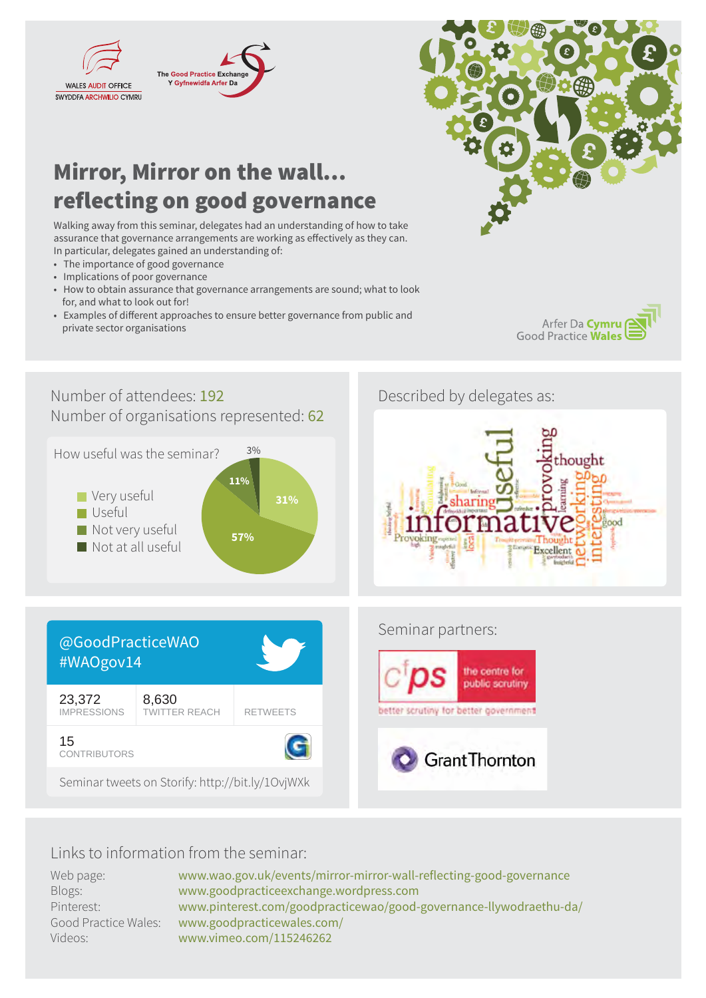

# Mirror, Mirror on the wall… reflecting on good governance

Walking away from this seminar, delegates had an understanding of how to take assurance that governance arrangements are working as effectively as they can. In particular, delegates gained an understanding of:

- The importance of good governance
- Implications of poor governance
- How to obtain assurance that governance arrangements are sound; what to look for, and what to look out for!
- Examples of different approaches to ensure better governance from public and private sector organisations



Arfer Da Cymru **Good Practice Wales** 



# Links to information from the seminar:

| Web page:            | www.wao.gov.uk/events/mirror-mirror-wall-reflecting-good-governance |
|----------------------|---------------------------------------------------------------------|
| Blogs:               | www.goodpracticeexchange.wordpress.com                              |
| Pinterest:           | www.pinterest.com/goodpracticewao/good-governance-llywodraethu-da/  |
| Good Practice Wales: | www.goodpracticewales.com/                                          |
| Videos:              | www.vimeo.com/115246262                                             |
|                      |                                                                     |